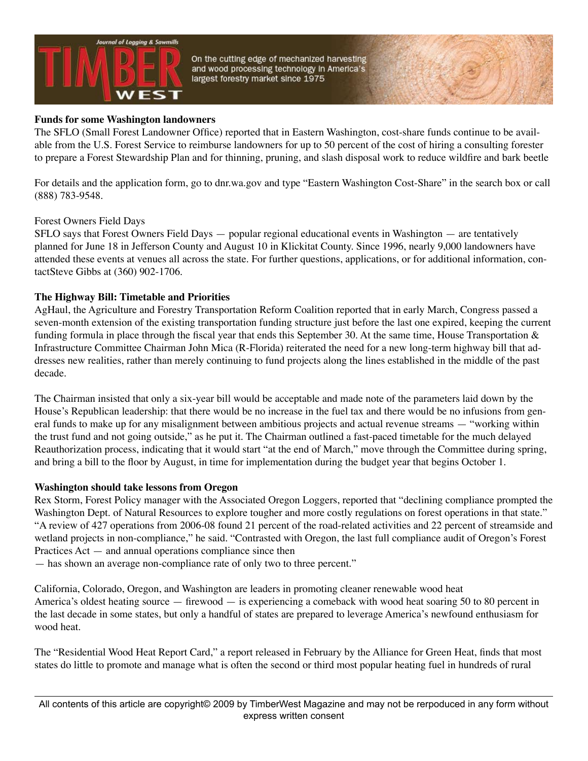

On the cutting edge of mechanized harvesting and wood processing technology in America's largest forestry market since 1975

## **Funds for some Washington landowners**

The SFLO (Small Forest Landowner Office) reported that in Eastern Washington, cost-share funds continue to be available from the U.S. Forest Service to reimburse landowners for up to 50 percent of the cost of hiring a consulting forester to prepare a Forest Stewardship Plan and for thinning, pruning, and slash disposal work to reduce wildfire and bark beetle

For details and the application form, go to dnr.wa.gov and type "Eastern Washington Cost-Share" in the search box or call (888) 783-9548.

## Forest Owners Field Days

SFLO says that Forest Owners Field Days — popular regional educational events in Washington — are tentatively planned for June 18 in Jefferson County and August 10 in Klickitat County. Since 1996, nearly 9,000 landowners have attended these events at venues all across the state. For further questions, applications, or for additional information, contactSteve Gibbs at (360) 902-1706.

## **The Highway Bill: Timetable and Priorities**

AgHaul, the Agriculture and Forestry Transportation Reform Coalition reported that in early March, Congress passed a seven-month extension of the existing transportation funding structure just before the last one expired, keeping the current funding formula in place through the fiscal year that ends this September 30. At the same time, House Transportation & Infrastructure Committee Chairman John Mica (R-Florida) reiterated the need for a new long-term highway bill that addresses new realities, rather than merely continuing to fund projects along the lines established in the middle of the past decade.

The Chairman insisted that only a six-year bill would be acceptable and made note of the parameters laid down by the House's Republican leadership: that there would be no increase in the fuel tax and there would be no infusions from general funds to make up for any misalignment between ambitious projects and actual revenue streams — "working within the trust fund and not going outside," as he put it. The Chairman outlined a fast-paced timetable for the much delayed Reauthorization process, indicating that it would start "at the end of March," move through the Committee during spring, and bring a bill to the floor by August, in time for implementation during the budget year that begins October 1.

## **Washington should take lessons from Oregon**

Rex Storm, Forest Policy manager with the Associated Oregon Loggers, reported that "declining compliance prompted the Washington Dept. of Natural Resources to explore tougher and more costly regulations on forest operations in that state." "A review of 427 operations from 2006-08 found 21 percent of the road-related activities and 22 percent of streamside and wetland projects in non-compliance," he said. "Contrasted with Oregon, the last full compliance audit of Oregon's Forest Practices Act — and annual operations compliance since then

— has shown an average non-compliance rate of only two to three percent."

California, Colorado, Oregon, and Washington are leaders in promoting cleaner renewable wood heat America's oldest heating source — firewood — is experiencing a comeback with wood heat soaring 50 to 80 percent in the last decade in some states, but only a handful of states are prepared to leverage America's newfound enthusiasm for wood heat.

The "Residential Wood Heat Report Card," a report released in February by the Alliance for Green Heat, finds that most states do little to promote and manage what is often the second or third most popular heating fuel in hundreds of rural